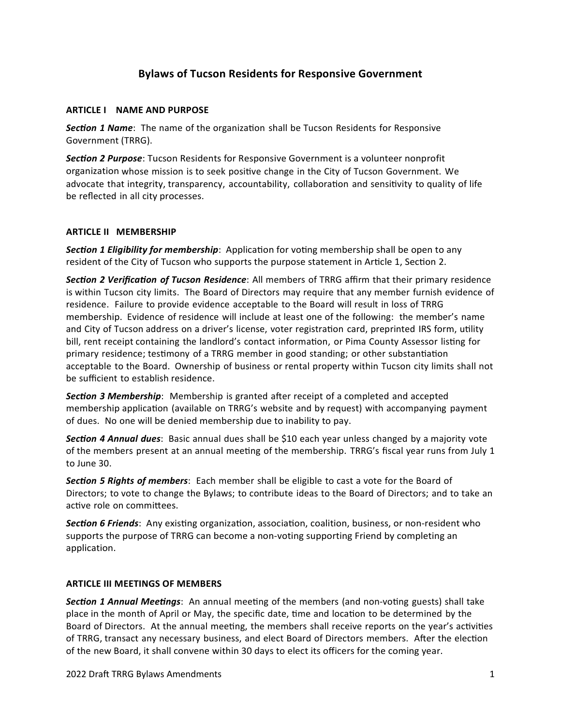# **Bylaws of Tucson Residents for Responsive Government**

## **ARTICLE I NAME AND PURPOSE**

*Section 1 Name*: The name of the organization shall be Tucson Residents for Responsive Government (TRRG).

*Section 2 Purpose*: Tucson Residents for Responsive Government is a volunteer nonprofit organization whose mission is to seek positive change in the City of Tucson Government. We advocate that integrity, transparency, accountability, collaboration and sensitivity to quality of life be reflected in all city processes.

# **ARTICLE II MEMBERSHIP**

*Section 1 Eligibility for membership*: Application for voting membership shall be open to any resident of the City of Tucson who supports the purpose statement in Article 1, Section 2.

*Section 2 Verification of Tucson Residence*: All members of TRRG affirm that their primary residence is within Tucson city limits. The Board of Directors may require that any member furnish evidence of residence. Failure to provide evidence acceptable to the Board will result in loss of TRRG membership. Evidence of residence will include at least one of the following: the member's name and City of Tucson address on a driver's license, voter registration card, preprinted IRS form, utility bill, rent receipt containing the landlord's contact information, or Pima County Assessor listing for primary residence; testimony of a TRRG member in good standing; or other substantiation acceptable to the Board. Ownership of business or rental property within Tucson city limits shall not be sufficient to establish residence.

*Section 3 Membership*: Membership is granted after receipt of a completed and accepted membership application (available on TRRG's website and by request) with accompanying payment of dues. No one will be denied membership due to inability to pay.

*Section 4 Annual dues*: Basic annual dues shall be \$10 each year unless changed by a majority vote of the members present at an annual meeting of the membership. TRRG's fiscal year runs from July 1 to June 30.

*Section 5 Rights of members*: Each member shall be eligible to cast a vote for the Board of Directors; to vote to change the Bylaws; to contribute ideas to the Board of Directors; and to take an active role on committees.

*Section 6 Friends*: Any existing organization, association, coalition, business, or non-resident who supports the purpose of TRRG can become a non-voting supporting Friend by completing an application.

## **ARTICLE III MEETINGS OF MEMBERS**

*Section 1 Annual Meetings*: An annual meeting of the members (and non-voting guests) shall take place in the month of April or May, the specific date, time and location to be determined by the Board of Directors. At the annual meeting, the members shall receive reports on the year's activities of TRRG, transact any necessary business, and elect Board of Directors members. After the election of the new Board, it shall convene within 30 days to elect its officers for the coming year.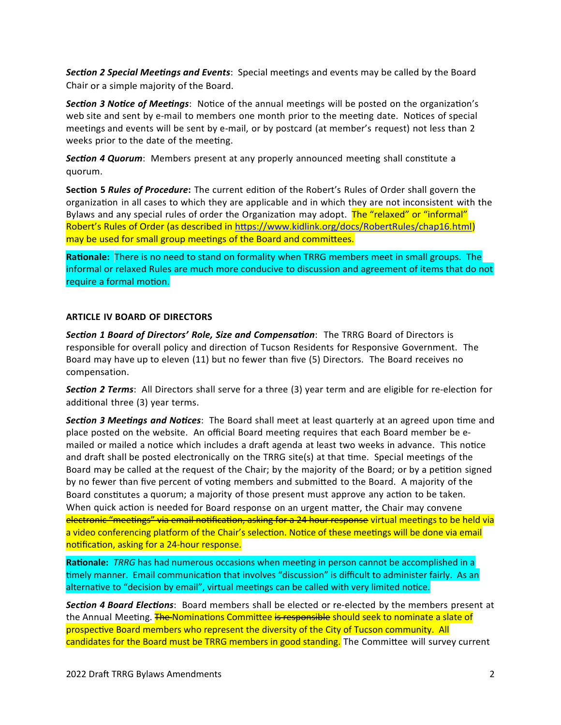*Section 2 Special Meetings and Events*: Special meetings and events may be called by the Board Chair or a simple majority of the Board.

*Section 3 Notice of Meetings*: Notice of the annual meetings will be posted on the organization's web site and sent by e-mail to members one month prior to the meeting date. Notices of special meetings and events will be sent by e-mail, or by postcard (at member's request) not less than 2 weeks prior to the date of the meeting.

*Section 4 Quorum*: Members present at any properly announced meeting shall constitute a quorum.

**Section 5** *Rules of Procedure***:** The current edition of the Robert's Rules of Order shall govern the organization in all cases to which they are applicable and in which they are not inconsistent with the Bylaws and any special rules of order the Organization may adopt. The "relaxed" or "informal" Robert's Rules of Order (as described in<https://www.kidlink.org/docs/RobertRules/chap16.html>) may be used for small group meetings of the Board and committees.

**Rationale:** There is no need to stand on formality when TRRG members meet in small groups. The informal or relaxed Rules are much more conducive to discussion and agreement of items that do not require a formal motion.

### **ARTICLE IV BOARD OF DIRECTORS**

*Section 1 Board of Directors' Role, Size and Compensation*: The TRRG Board of Directors is responsible for overall policy and direction of Tucson Residents for Responsive Government. The Board may have up to eleven (11) but no fewer than five (5) Directors. The Board receives no compensation.

*Section 2 Terms*: All Directors shall serve for a three (3) year term and are eligible for re-election for additional three (3) year terms.

*Section 3 Meetings and Notices*: The Board shall meet at least quarterly at an agreed upon time and place posted on the website. An official Board meeting requires that each Board member be emailed or mailed a notice which includes a draft agenda at least two weeks in advance. This notice and draft shall be posted electronically on the TRRG site(s) at that time. Special meetings of the Board may be called at the request of the Chair; by the majority of the Board; or by a petition signed by no fewer than five percent of voting members and submitted to the Board. A majority of the Board constitutes a quorum; a majority of those present must approve any action to be taken. When quick action is needed for Board response on an urgent matter, the Chair may convene electronic "meetings" via email notification, asking for a 24 hour response virtual meetings to be held via a video conferencing platform of the Chair's selection. Notice of these meetings will be done via email notification, asking for a 24-hour response.

**Rationale:** *TRRG* has had numerous occasions when meeting in person cannot be accomplished in a timely manner. Email communication that involves "discussion" is difficult to administer fairly. As an alternative to "decision by email", virtual meetings can be called with very limited notice.

*Section 4 Board Elections*: Board members shall be elected or re-elected by the members present at the Annual Meeting. **The Nominations Committee is responsible should seek to nominate a slate of** prospective Board members who represent the diversity of the City of Tucson community. All candidates for the Board must be TRRG members in good standing. The Committee will survey current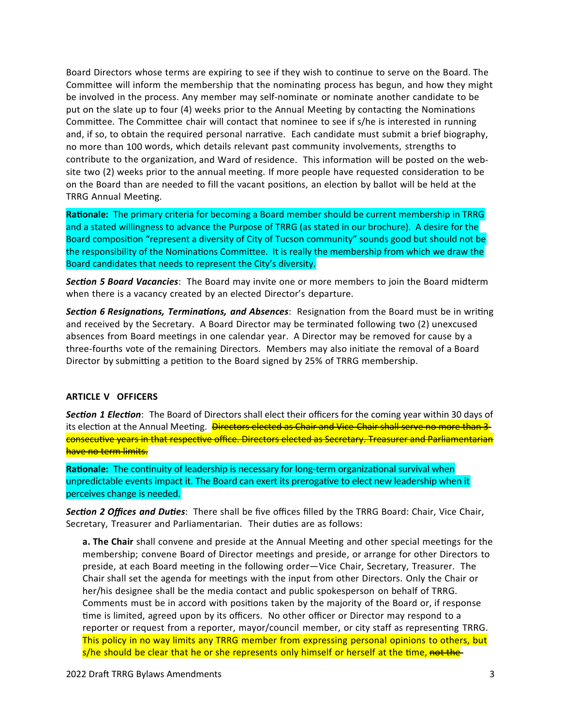Board Directors whose terms are expiring to see if they wish to continue to serve on the Board. The Committee will inform the membership that the nominating process has begun, and how they might be involved in the process. Any member may self-nominate or nominate another candidate to be put on the slate up to four (4) weeks prior to the Annual Meeting by contacting the Nominations Committee. The Committee chair will contact that nominee to see if s/he is interested in running and, if so, to obtain the required personal narrative. Each candidate must submit a brief biography, no more than 100 words, which details relevant past community involvements, strengths to contribute to the organization, and Ward of residence. This information will be posted on the website two (2) weeks prior to the annual meeting. If more people have requested consideration to be on the Board than are needed to fill the vacant positions, an election by ballot will be held at the TRRG Annual Meeting.

**Rationale:** The primary criteria for becoming a Board member should be current membership in TRRG and a stated willingness to advance the Purpose of TRRG (as stated in our brochure). A desire for the Board composition "represent a diversity of City of Tucson community" sounds good but should not be the responsibility of the Nominations Committee. It is really the membership from which we draw the Board candidates that needs to represent the City's diversity.

*Section 5 Board Vacancies*: The Board may invite one or more members to join the Board midterm when there is a vacancy created by an elected Director's departure.

*Section 6 Resignations, Terminations, and Absences*: Resignation from the Board must be in writing and received by the Secretary. A Board Director may be terminated following two (2) unexcused absences from Board meetings in one calendar year. A Director may be removed for cause by a three-fourths vote of the remaining Directors. Members may also initiate the removal of a Board Director by submitting a petition to the Board signed by 25% of TRRG membership.

#### **ARTICLE V OFFICERS**

*Section 1 Election*: The Board of Directors shall elect their officers for the coming year within 30 days of its election at the Annual Meeting. Directors elected as Chair and Vice-Chair shall serve no more than 3consecutive years in that respective office. Directors elected as Secretary. Treasurer and Parliamentarian have no term limits.

**Rationale:** The continuity of leadership is necessary for long-term organizational survival when unpredictable events impact it. The Board can exert its prerogative to elect new leadership when it perceives change is needed.

*Section 2 Offices and Duties*: There shall be five offices filled by the TRRG Board: Chair, Vice Chair, Secretary, Treasurer and Parliamentarian. Their duties are as follows:

**a. The Chair** shall convene and preside at the Annual Meeting and other special meetings for the membership; convene Board of Director meetings and preside, or arrange for other Directors to preside, at each Board meeting in the following order—Vice Chair, Secretary, Treasurer. The Chair shall set the agenda for meetings with the input from other Directors. Only the Chair or her/his designee shall be the media contact and public spokesperson on behalf of TRRG. Comments must be in accord with positions taken by the majority of the Board or, if response time is limited, agreed upon by its officers. No other officer or Director may respond to a reporter or request from a reporter, mayor/council member, or city staff as representing TRRG. This policy in no way limits any TRRG member from expressing personal opinions to others, but s/he should be clear that he or she represents only himself or herself at the time, not the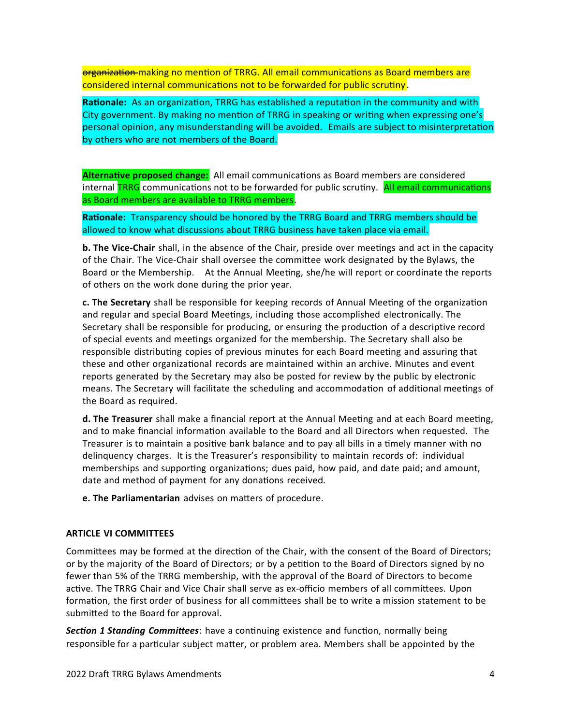organization making no mention of TRRG. All email communications as Board members are considered internal communications not to be forwarded for public scrutiny.

**Rationale:**As an organization, TRRG has established a reputation in the community and with City government. By making no mention of TRRG in speaking or writing when expressing one's personal opinion, any misunderstanding will be avoided. Emails are subject to misinterpretation by others who are not members of the Board.

**Alternative proposed change:** All email communications as Board members are considered internal **TRRG** communications not to be forwarded for public scrutiny. All email communications as Board members are available to TRRG members.

**Rationale:** Transparency should be honored by the TRRG Board and TRRG members should be allowed to know what discussions about TRRG business have taken place via email.

**b. The Vice-Chair** shall, in the absence of the Chair, preside over meetings and act in the capacity of the Chair. The Vice-Chair shall oversee the committee work designated by the Bylaws, the Board or the Membership. At the Annual Meeting, she/he will report or coordinate the reports of others on the work done during the prior year.

**c. The Secretary** shall be responsible for keeping records of Annual Meeting of the organization and regular and special Board Meetings, including those accomplished electronically. The Secretary shall be responsible for producing, or ensuring the production of a descriptive record of special events and meetings organized for the membership. The Secretary shall also be responsible distributing copies of previous minutes for each Board meeting and assuring that these and other organizational records are maintained within an archive. Minutes and event reports generated by the Secretary may also be posted for review by the public by electronic means. The Secretary will facilitate the scheduling and accommodation of additional meetings of the Board as required.

**d. The Treasurer** shall make a financial report at the Annual Meeting and at each Board meeting, and to make financial information available to the Board and all Directors when requested. The Treasurer is to maintain a positive bank balance and to pay all bills in a timely manner with no delinquency charges. It is the Treasurer's responsibility to maintain records of: individual memberships and supporting organizations; dues paid, how paid, and date paid; and amount, date and method of payment for any donations received.

**e. The Parliamentarian** advises on matters of procedure.

#### **ARTICLE VI COMMITTEES**

Committees may be formed at the direction of the Chair, with the consent of the Board of Directors; or by the majority of the Board of Directors; or by a petition to the Board of Directors signed by no fewer than 5% of the TRRG membership, with the approval of the Board of Directors to become active. The TRRG Chair and Vice Chair shall serve as ex-officio members of all committees. Upon formation, the first order of business for all committees shall be to write a mission statement to be submitted to the Board for approval.

*Section 1 Standing Committees*: have a continuing existence and function, normally being responsible for a particular subject matter, or problem area. Members shall be appointed by the